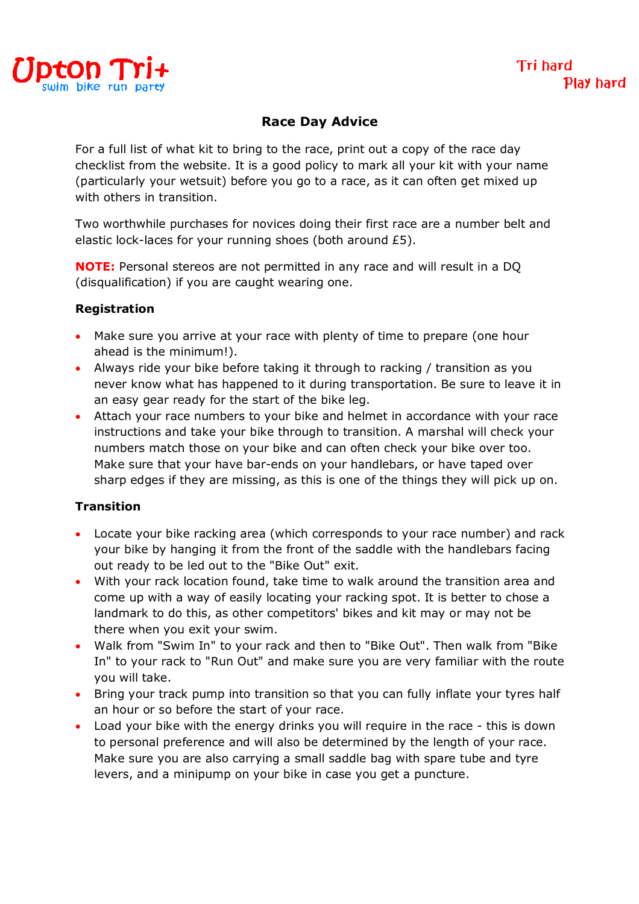

### **Race Day Advice**

For a full list of what kit to bring to the race, print out a copy of the race day checklist from the website. It is a good policy to mark all your kit with your name (particularly your wetsuit) before you go to a race, as it can often get mixed up with others in transition.

Two worthwhile purchases for novices doing their first race are a number belt and elastic lock-laces for your running shoes (both around £5).

**NOTE:** Personal stereos are not permitted in any race and will result in a DQ (disqualification) if you are caught wearing one.

#### **Registration**

- Make sure you arrive at your race with plenty of time to prepare (one hour ahead is the minimum!).
- Always ride your bike before taking it through to racking / transition as you never know what has happened to it during transportation. Be sure to leave it in an easy gear ready for the start of the bike leg.
- Attach your race numbers to your bike and helmet in accordance with your race instructions and take your bike through to transition. A marshal will check your numbers match those on your bike and can often check your bike over too. Make sure that your have bar-ends on your handlebars, or have taped over sharp edges if they are missing, as this is one of the things they will pick up on.

#### **Transition**

- Locate your bike racking area (which corresponds to your race number) and rack your bike by hanging it from the front of the saddle with the handlebars facing out ready to be led out to the "Bike Out" exit.
- With your rack location found, take time to walk around the transition area and come up with a way of easily locating your racking spot. It is better to chose a landmark to do this, as other competitors' bikes and kit may or may not be there when you exit your swim.
- Walk from "Swim In" to your rack and then to "Bike Out". Then walk from "Bike In" to your rack to "Run Out" and make sure you are very familiar with the route you will take.
- Bring your track pump into transition so that you can fully inflate your tyres half an hour or so before the start of your race.
- Load your bike with the energy drinks you will require in the race this is down to personal preference and will also be determined by the length of your race. Make sure you are also carrying a small saddle bag with spare tube and tyre levers, and a minipump on your bike in case you get a puncture.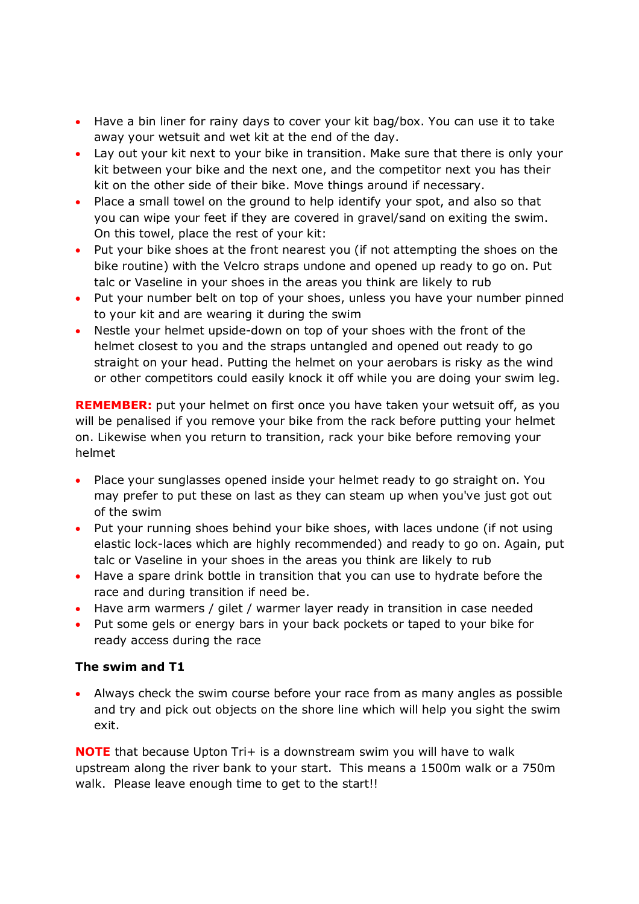- Have a bin liner for rainy days to cover your kit bag/box. You can use it to take away your wetsuit and wet kit at the end of the day.
- Lay out your kit next to your bike in transition. Make sure that there is only your kit between your bike and the next one, and the competitor next you has their kit on the other side of their bike. Move things around if necessary.
- Place a small towel on the ground to help identify your spot, and also so that you can wipe your feet if they are covered in gravel/sand on exiting the swim. On this towel, place the rest of your kit:
- Put your bike shoes at the front nearest you (if not attempting the shoes on the bike routine) with the Velcro straps undone and opened up ready to go on. Put talc or Vaseline in your shoes in the areas you think are likely to rub
- Put your number belt on top of your shoes, unless you have your number pinned to your kit and are wearing it during the swim
- Nestle your helmet upside-down on top of your shoes with the front of the helmet closest to you and the straps untangled and opened out ready to go straight on your head. Putting the helmet on your aerobars is risky as the wind or other competitors could easily knock it off while you are doing your swim leg.

**REMEMBER:** put your helmet on first once you have taken your wetsuit off, as you will be penalised if you remove your bike from the rack before putting your helmet on. Likewise when you return to transition, rack your bike before removing your helmet

- Place your sunglasses opened inside your helmet ready to go straight on. You may prefer to put these on last as they can steam up when you've just got out of the swim
- Put your running shoes behind your bike shoes, with laces undone (if not using elastic lock-laces which are highly recommended) and ready to go on. Again, put talc or Vaseline in your shoes in the areas you think are likely to rub
- Have a spare drink bottle in transition that you can use to hydrate before the race and during transition if need be.
- Have arm warmers / gilet / warmer layer ready in transition in case needed
- Put some gels or energy bars in your back pockets or taped to your bike for ready access during the race

# **The swim and T1**

 Always check the swim course before your race from as many angles as possible and try and pick out objects on the shore line which will help you sight the swim exit.

**NOTE** that because Upton Tri+ is a downstream swim you will have to walk upstream along the river bank to your start. This means a 1500m walk or a 750m walk. Please leave enough time to get to the start!!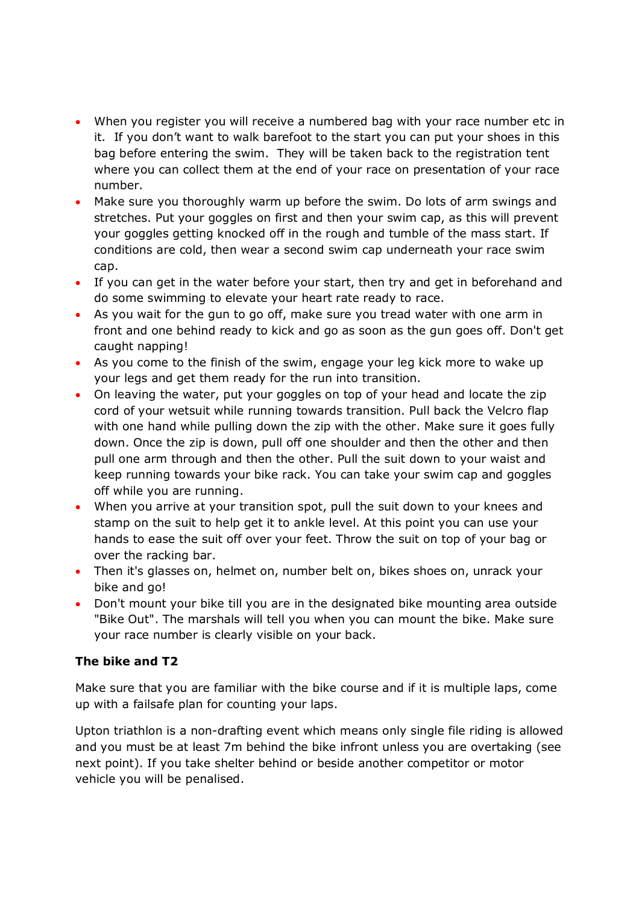- When you register you will receive a numbered bag with your race number etc in it. If you don't want to walk barefoot to the start you can put your shoes in this bag before entering the swim. They will be taken back to the registration tent where you can collect them at the end of your race on presentation of your race number.
- Make sure you thoroughly warm up before the swim. Do lots of arm swings and stretches. Put your goggles on first and then your swim cap, as this will prevent your goggles getting knocked off in the rough and tumble of the mass start. If conditions are cold, then wear a second swim cap underneath your race swim cap.
- If you can get in the water before your start, then try and get in beforehand and do some swimming to elevate your heart rate ready to race.
- As you wait for the gun to go off, make sure you tread water with one arm in front and one behind ready to kick and go as soon as the gun goes off. Don't get caught napping!
- As you come to the finish of the swim, engage your leg kick more to wake up your legs and get them ready for the run into transition.
- On leaving the water, put your goggles on top of your head and locate the zip cord of your wetsuit while running towards transition. Pull back the Velcro flap with one hand while pulling down the zip with the other. Make sure it goes fully down. Once the zip is down, pull off one shoulder and then the other and then pull one arm through and then the other. Pull the suit down to your waist and keep running towards your bike rack. You can take your swim cap and goggles off while you are running.
- When you arrive at your transition spot, pull the suit down to your knees and stamp on the suit to help get it to ankle level. At this point you can use your hands to ease the suit off over your feet. Throw the suit on top of your bag or over the racking bar.
- Then it's glasses on, helmet on, number belt on, bikes shoes on, unrack your bike and go!
- Don't mount your bike till you are in the designated bike mounting area outside "Bike Out". The marshals will tell you when you can mount the bike. Make sure your race number is clearly visible on your back.

# **The bike and T2**

Make sure that you are familiar with the bike course and if it is multiple laps, come up with a failsafe plan for counting your laps.

Upton triathlon is a non-drafting event which means only single file riding is allowed and you must be at least 7m behind the bike infront unless you are overtaking (see next point). If you take shelter behind or beside another competitor or motor vehicle you will be penalised.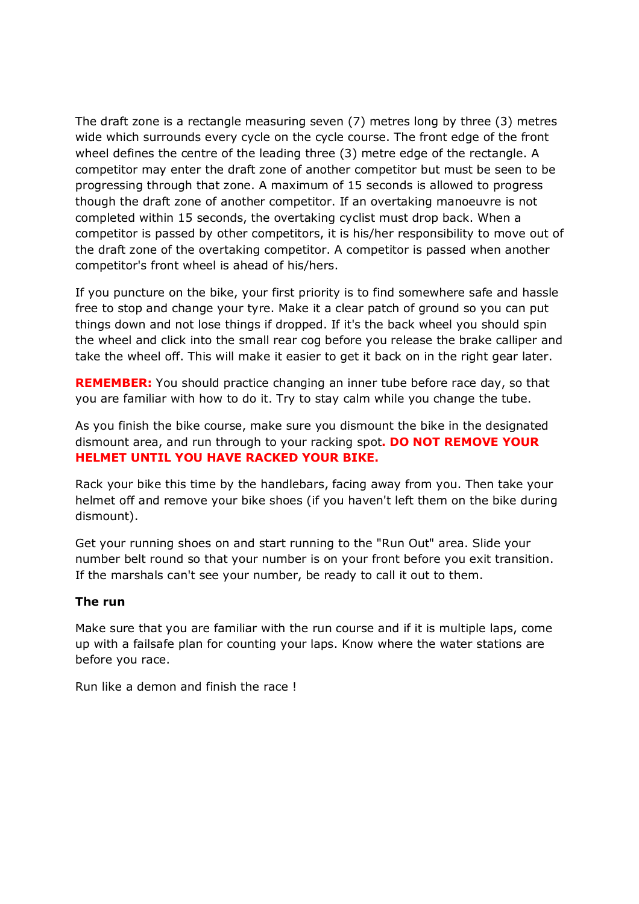The draft zone is a rectangle measuring seven (7) metres long by three (3) metres wide which surrounds every cycle on the cycle course. The front edge of the front wheel defines the centre of the leading three (3) metre edge of the rectangle. A competitor may enter the draft zone of another competitor but must be seen to be progressing through that zone. A maximum of 15 seconds is allowed to progress though the draft zone of another competitor. If an overtaking manoeuvre is not completed within 15 seconds, the overtaking cyclist must drop back. When a competitor is passed by other competitors, it is his/her responsibility to move out of the draft zone of the overtaking competitor. A competitor is passed when another competitor's front wheel is ahead of his/hers.

If you puncture on the bike, your first priority is to find somewhere safe and hassle free to stop and change your tyre. Make it a clear patch of ground so you can put things down and not lose things if dropped. If it's the back wheel you should spin the wheel and click into the small rear cog before you release the brake calliper and take the wheel off. This will make it easier to get it back on in the right gear later.

**REMEMBER:** You should practice changing an inner tube before race day, so that you are familiar with how to do it. Try to stay calm while you change the tube.

As you finish the bike course, make sure you dismount the bike in the designated dismount area, and run through to your racking spot**. DO NOT REMOVE YOUR HELMET UNTIL YOU HAVE RACKED YOUR BIKE.**

Rack your bike this time by the handlebars, facing away from you. Then take your helmet off and remove your bike shoes (if you haven't left them on the bike during dismount).

Get your running shoes on and start running to the "Run Out" area. Slide your number belt round so that your number is on your front before you exit transition. If the marshals can't see your number, be ready to call it out to them.

#### **The run**

Make sure that you are familiar with the run course and if it is multiple laps, come up with a failsafe plan for counting your laps. Know where the water stations are before you race.

Run like a demon and finish the race !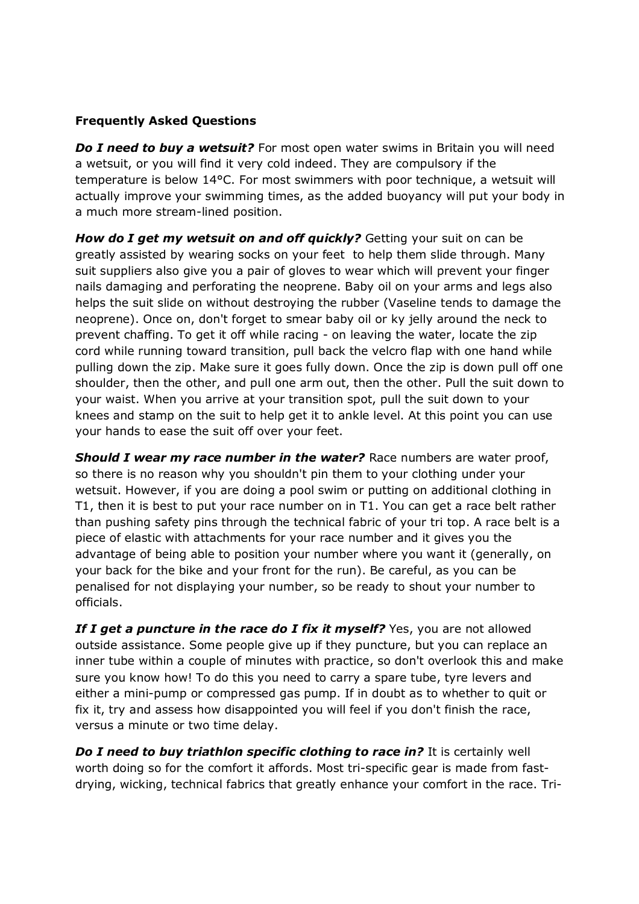### **Frequently Asked Questions**

*Do I need to buy a wetsuit?* For most open water swims in Britain you will need a wetsuit, or you will find it very cold indeed. They are compulsory if the temperature is below 14°C. For most swimmers with poor technique, a wetsuit will actually improve your swimming times, as the added buoyancy will put your body in a much more stream-lined position.

*How do I get my wetsuit on and off quickly?* Getting your suit on can be greatly assisted by wearing socks on your feet to help them slide through. Many suit suppliers also give you a pair of gloves to wear which will prevent your finger nails damaging and perforating the neoprene. Baby oil on your arms and legs also helps the suit slide on without destroying the rubber (Vaseline tends to damage the neoprene). Once on, don't forget to smear baby oil or ky jelly around the neck to prevent chaffing. To get it off while racing - on leaving the water, locate the zip cord while running toward transition, pull back the velcro flap with one hand while pulling down the zip. Make sure it goes fully down. Once the zip is down pull off one shoulder, then the other, and pull one arm out, then the other. Pull the suit down to your waist. When you arrive at your transition spot, pull the suit down to your knees and stamp on the suit to help get it to ankle level. At this point you can use your hands to ease the suit off over your feet.

**Should I wear my race number in the water?** Race numbers are water proof, so there is no reason why you shouldn't pin them to your clothing under your wetsuit. However, if you are doing a pool swim or putting on additional clothing in T1, then it is best to put your race number on in T1. You can get a race belt rather than pushing safety pins through the technical fabric of your tri top. A race belt is a piece of elastic with attachments for your race number and it gives you the advantage of being able to position your number where you want it (generally, on your back for the bike and your front for the run). Be careful, as you can be penalised for not displaying your number, so be ready to shout your number to officials.

If I get a puncture in the race do I fix it myself? Yes, you are not allowed outside assistance. Some people give up if they puncture, but you can replace an inner tube within a couple of minutes with practice, so don't overlook this and make sure you know how! To do this you need to carry a spare tube, tyre levers and either a mini-pump or compressed gas pump. If in doubt as to whether to quit or fix it, try and assess how disappointed you will feel if you don't finish the race, versus a minute or two time delay.

*Do I need to buy triathlon specific clothing to race in?* **It is certainly well** worth doing so for the comfort it affords. Most tri-specific gear is made from fastdrying, wicking, technical fabrics that greatly enhance your comfort in the race. Tri